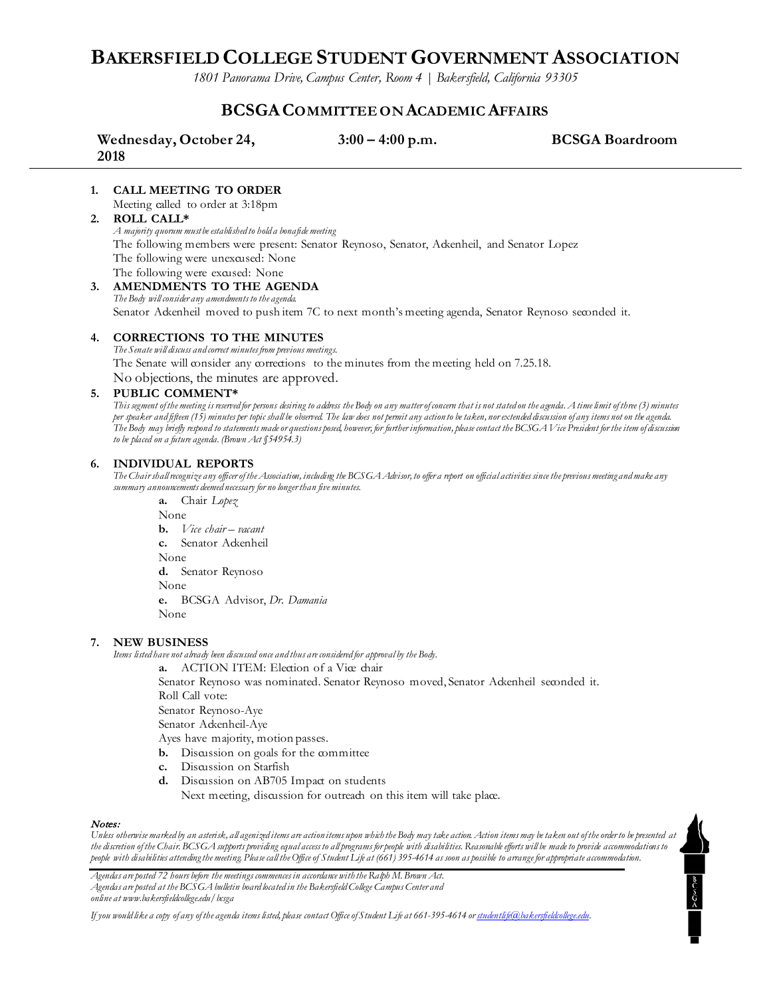## **BAKERSFIELD COLLEGE STUDENT GOVERNMENT ASSOCIATION**

*1801 Panorama Drive, Campus Center, Room 4 | Bakersfield, California 93305*

### **BCSGACOMMITTEE ON ACADEMIC AFFAIRS**

| Wednesday, October 24, | $3:00 - 4:00$ p.m. | <b>BCSGA Boardroom</b> |
|------------------------|--------------------|------------------------|
| 2018                   |                    |                        |

#### **1. CALL MEETING TO ORDER**

Meeting called to order at 3:18pm

#### **2. ROLL CALL\***

*A majority quorum must be established to hold a bonafide meeting*  The following members were present: Senator Reynoso, Senator, Ackenheil, and Senator Lopez The following were unexcused: None The following were excused: None

**3. AMENDMENTS TO THE AGENDA** *The Body will consider any amendments to the agenda.* Senator Ackenheil moved to push item 7C to next month's meeting agenda, Senator Reynoso seconded it.

#### **4. CORRECTIONS TO THE MINUTES**

*The Senate will discuss and correct minutes from previous meetings.* The Senate will consider any corrections to the minutes from the meeting held on 7.25.18. No objections, the minutes are approved.

#### **5. PUBLIC COMMENT\***

*This segment of the meeting is reserved for persons desiring to address the Body on any matter of concern that is not stated on the agenda. A time limit of three (3) minutes per speaker and fifteen (15) minutes per topic shall be observed. The law does not permit any action to be taken, nor extended discussion of any items not on the agenda. The Body may briefly respond to statements made or questions posed, however, for further information, please contact the BCSGA Vice President for the item of discussion to be placed on a future agenda. (Brown Act §54954.3)*

#### **6. INDIVIDUAL REPORTS**

*The Chair shall recognize any officer of the Association, including the BCSGA Advisor, to offer a report on official activities since the previous meeting and make any summary announcements deemed necessary for no longer than five minutes.*

**a.** Chair *Lopez* None **b.** *Vice chair – vacant*  **c.** Senator Ackenheil None **d.** Senator Reynoso None **e.** BCSGA Advisor, *Dr. Damania* None

#### **7. NEW BUSINESS**

*Items listed have not already been discussed once and thus are considered for approval by the Body.*

**a.** ACTION ITEM: Election of a Vice chair Senator Reynoso was nominated. Senator Reynoso moved, Senator Ackenheil seconded it. Roll Call vote: Senator Reynoso-Aye

Senator Ackenheil-Aye

Ayes have majority, motion passes.

- **b.** Discussion on goals for the committee
- **c.** Discussion on Starfish
- **d.** Discussion on AB705 Impact on students

Next meeting, discussion for outreach on this item will take place.

#### Notes:

*Unless otherwise marked by an asterisk, all agenized items are action items upon which the Body may take action. Action items may be taken out of the order to be presented at the discretion of the Chair. BCSGA supports providing equal access to all programs for people with disabilities. Reasonable efforts will be made to provide accommodations to people with disabilities attending the meeting. Please call the Office of Student Life at (661) 395-4614 as soon as possible to arrange for appropriate accommodation.*

 $\overline{\phantom{a}}$ 

*Agendas are posted 72 hours before the meetings commences in accordance with the Ralph M. Brown Act. Agendas are posted at the BCSGA bulletin board located in the Bakersfield College Campus Center and online at www.bakersfieldcollege.edu/bcsga*

*If you would like a copy of any of the agenda items listed, please contact Office of Student Life at 661-395-4614 or [studentlife@bakersfieldcollege.edu.](mailto:studentlife@bakersfieldcollege.edu)*